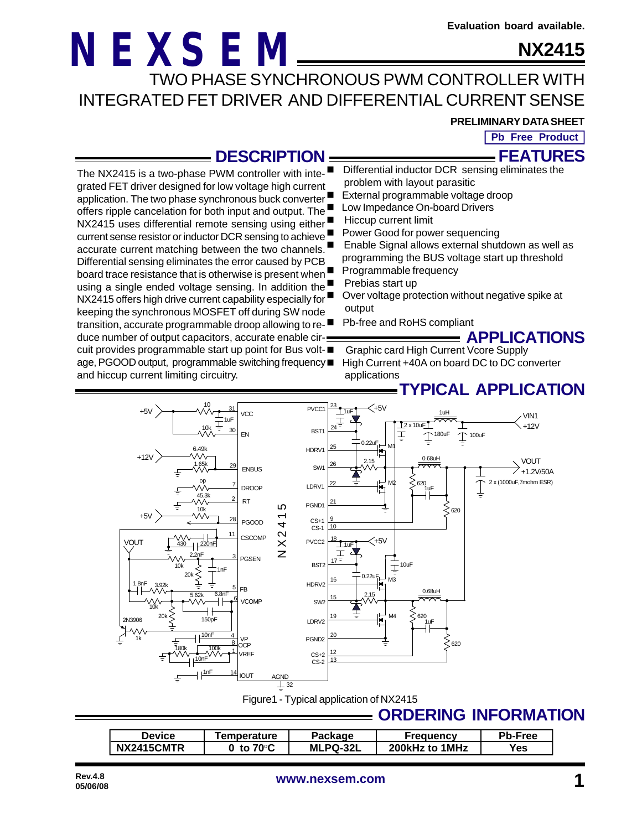### **NX2415**

TWO PHASE SYNCHRONOUS PWM CONTROLLER WITH INTEGRATED FET DRIVER AND DIFFERENTIAL CURRENT SENSE

#### **PRELIMINARY DATA SHEET**

**APPLICATIONS**

**FEATURES Pb Free Product**

### **DESCRIPTION**

- Differential inductor DCR sensing eliminates the problem with layout parasitic
- External programmable voltage droop
- application. The two phase synchronous buck converter offers ripple cancelation for both input and output. The Low Impedance On-board Drivers
	- Hiccup current limit
	- Power Good for power sequencing
		- Enable Signal allows external shutdown as well as programming the BUS voltage start up threshold
		- Programmable frequency
		- Prebias start up
		- Over voltage protection without negative spike at output
		- Pb-free and RoHS compliant

transition, accurate programmable droop allowing to reduce number of output capacitors, accurate enable circuit provides programmable start up point for Bus voltage, PGOOD output, programmable switching frequency and hiccup current limiting circuitry. n Graphic card High Current Vcore Supply High Current +40A on board DC to DC converter applications

**NEXSEM**

The NX2415 is a two-phase PWM controller with integrated FET driver designed for low voltage high current

NX2415 uses differential remote sensing using either current sense resistor or inductor DCR sensing to achieve accurate current matching between the two channels. Differential sensing eliminates the error caused by PCB board trace resistance that is otherwise is present when <sup>1</sup> using a single ended voltage sensing. In addition the NX2415 offers high drive current capability especially for keeping the synchronous MOSFET off during SW node



Figure1 - Typical application of NX2415

### **ORDERING INFORMATION**

| <b>Device</b> | <b>Femperature</b>         | <b>Package</b>  | Frequency      | <b>Pb-Free</b> |
|---------------|----------------------------|-----------------|----------------|----------------|
| NX2415CMTR    | to 70 $\mathrm{^{\circ}C}$ | <b>MLPQ-32L</b> | 200kHz to 1MHz | Yes            |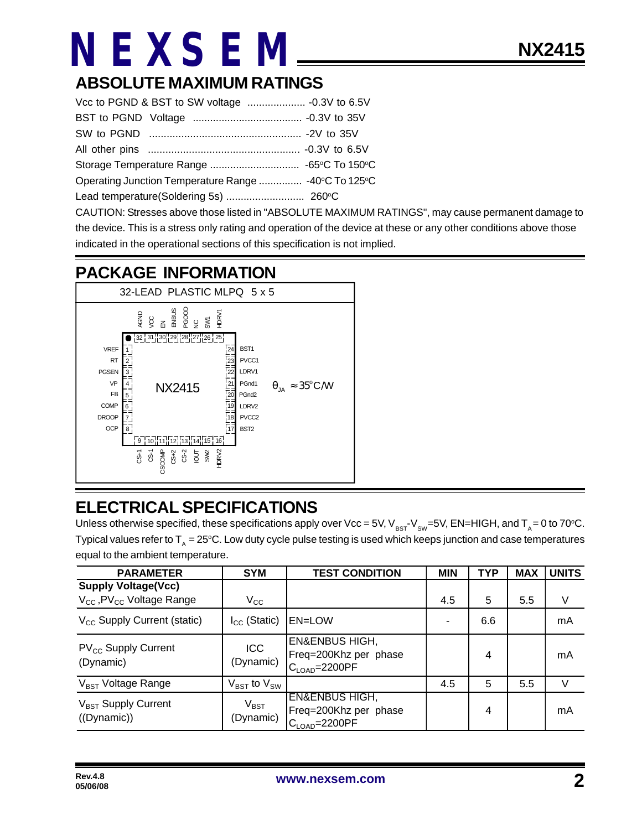### **ABSOLUTE MAXIMUM RATINGS**

| Operating Junction Temperature Range  -40°C To 125°C |  |  |  |  |  |
|------------------------------------------------------|--|--|--|--|--|
|                                                      |  |  |  |  |  |

CAUTION: Stresses above those listed in "ABSOLUTE MAXIMUM RATINGS", may cause permanent damage to the device. This is a stress only rating and operation of the device at these or any other conditions above those indicated in the operational sections of this specification is not implied.

### **PACKAGE INFORMATION**



### **ELECTRICAL SPECIFICATIONS**

Unless otherwise specified, these specifications apply over Vcc = 5V,  $V_{BST}V_{SW}=5V$ , EN=HIGH, and T<sub>A</sub> = 0 to 70°C. Typical values refer to  $T_A = 25^{\circ}$ C. Low duty cycle pulse testing is used which keeps junction and case temperatures equal to the ambient temperature.

| <b>PARAMETER</b>                                                                | <b>SYM</b>                          | <b>TEST CONDITION</b>                                                             | <b>MIN</b> | <b>TYP</b> | <b>MAX</b> | <b>UNITS</b> |
|---------------------------------------------------------------------------------|-------------------------------------|-----------------------------------------------------------------------------------|------------|------------|------------|--------------|
| <b>Supply Voltage(Vcc)</b><br>$V_{\text{cc}}$ , PV $_{\text{cc}}$ Voltage Range | $\rm V_{CC}$                        |                                                                                   | 4.5        | 5          | 5.5        | V            |
| V <sub>CC</sub> Supply Current (static)                                         | $I_{CC}$ (Static)                   | <b>EN=LOW</b>                                                                     | ٠          | 6.6        |            | mA           |
| PV <sub>CC</sub> Supply Current<br>(Dynamic)                                    | ICC<br>(Dynamic)                    | <b>EN&amp;ENBUS HIGH,</b><br>Freq=200Khz per phase<br>$C_{\text{LOAD}} = 2200$ PF |            | 4          |            | mA           |
| V <sub>BST</sub> Voltage Range                                                  | $V_{\text{BST}}$ to $V_{\text{SW}}$ |                                                                                   | 4.5        | 5          | 5.5        | V            |
| $V_{\text{BST}}$ Supply Current<br>((Dynamic))                                  | $V_{\text{BST}}$<br>(Dynamic)       | <b>EN&amp;ENBUS HIGH,</b><br>Freq=200Khz per phase<br>$C_{\text{LOAD}} = 2200$ PF |            | 4          |            | mA           |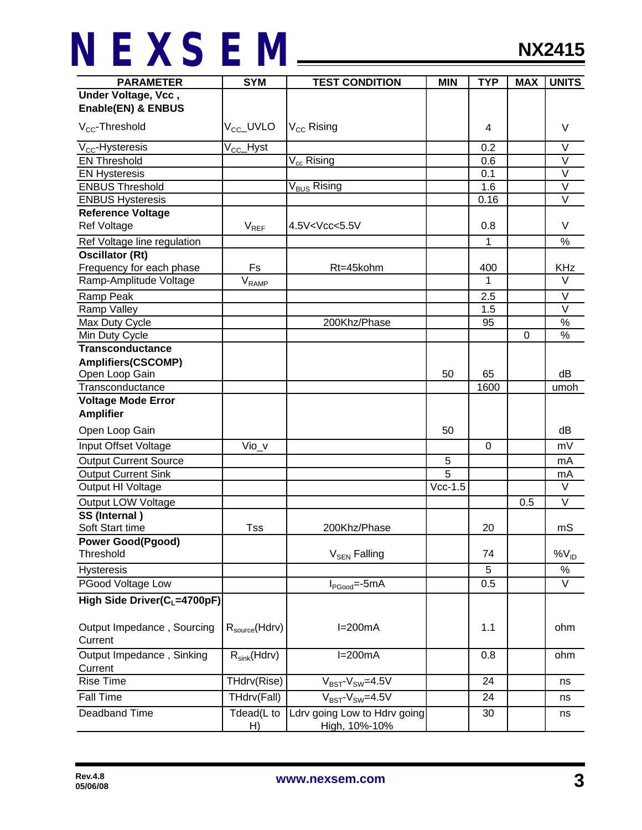| <b>PARAMETER</b>                         | <b>SYM</b>                | <b>TEST CONDITION</b>                         | <b>MIN</b>                       | <b>TYP</b> | <b>MAX</b> | <b>UNITS</b>      |
|------------------------------------------|---------------------------|-----------------------------------------------|----------------------------------|------------|------------|-------------------|
| Under Voltage, Vcc,                      |                           |                                               |                                  |            |            |                   |
| Enable(EN) & ENBUS                       |                           |                                               |                                  |            |            |                   |
| $V_{CC}$ -Threshold                      | V <sub>cc</sub> _UVLO     | $V_{CC}$ Rising                               |                                  | 4          |            | V                 |
| $V_{CC}$ -Hysteresis                     | V <sub>CC</sub> _Hyst     |                                               |                                  | 0.2        |            | $\vee$            |
| <b>EN Threshold</b>                      |                           | $V_{cc}$ Rising                               |                                  | 0.6        |            | $\vee$            |
| <b>EN Hysteresis</b>                     |                           |                                               |                                  | 0.1        |            | V                 |
| <b>ENBUS Threshold</b>                   |                           | V <sub>BUS</sub> Rising                       |                                  | 1.6        |            | $\overline{\vee}$ |
| <b>ENBUS Hysteresis</b>                  |                           |                                               |                                  | 0.16       |            | $\overline{\vee}$ |
| <b>Reference Voltage</b>                 |                           |                                               |                                  |            |            |                   |
| <b>Ref Voltage</b>                       | $V_{REF}$                 | 4.5V <v<sub>CC&lt;5.5V</v<sub>                |                                  | 0.8        |            | V                 |
| Ref Voltage line regulation              |                           |                                               |                                  | 1          |            | $\frac{9}{6}$     |
| <b>Oscillator (Rt)</b>                   |                           |                                               |                                  |            |            |                   |
| Frequency for each phase                 | Fs                        | Rt=45kohm                                     |                                  | 400        |            | <b>KHz</b>        |
| Ramp-Amplitude Voltage                   | V <sub>RAMP</sub>         |                                               |                                  | 1          |            | V                 |
| Ramp Peak                                |                           |                                               |                                  | 2.5        |            | V                 |
| Ramp Valley                              |                           |                                               |                                  | 1.5        |            | $\vee$            |
| Max Duty Cycle                           |                           | 200Khz/Phase                                  |                                  | 95         |            | $\%$              |
| Min Duty Cycle                           |                           |                                               |                                  |            | 0          | $\%$              |
| <b>Transconductance</b>                  |                           |                                               |                                  |            |            |                   |
| <b>Amplifiers(CSCOMP)</b>                |                           |                                               |                                  |            |            |                   |
| Open Loop Gain                           |                           |                                               | 50                               | 65         |            | dВ                |
| Transconductance                         |                           |                                               |                                  | 1600       |            | umoh              |
| <b>Voltage Mode Error</b>                |                           |                                               |                                  |            |            |                   |
| <b>Amplifier</b>                         |                           |                                               |                                  |            |            |                   |
| Open Loop Gain                           |                           |                                               | 50                               |            |            | dB                |
| Input Offset Voltage                     | $Vio_v$                   |                                               |                                  | $\Omega$   |            | mV                |
| <b>Output Current Source</b>             |                           |                                               | 5                                |            |            | mA                |
| <b>Output Current Sink</b>               |                           |                                               | 5<br>$\overline{\text{Vcc-1}}.5$ |            |            | mA<br>$\vee$      |
| Output HI Voltage                        |                           |                                               |                                  |            |            |                   |
| Output LOW Voltage                       |                           |                                               |                                  |            | 0.5        | V                 |
| SS (Internal)                            |                           |                                               |                                  |            |            |                   |
| Soft Start time                          | Tss                       | 200Khz/Phase                                  |                                  | 20         |            | mS                |
| <b>Power Good(Pgood)</b><br>Threshold    |                           | V <sub>SEN</sub> Falling                      |                                  | 74         |            | $96V_{ID}$        |
|                                          |                           |                                               |                                  |            |            |                   |
| Hysteresis                               |                           |                                               |                                  | 5          |            | $\%$              |
| PGood Voltage Low                        |                           | $I_{PGood} = -5mA$                            |                                  | 0.5        |            | $\vee$            |
| High Side Driver(C <sub>L</sub> =4700pF) |                           |                                               |                                  |            |            |                   |
| Output Impedance, Sourcing<br>Current    | $R_{\text{source}}(Hdrv)$ | $I=200mA$                                     |                                  | 1.1        |            | ohm               |
| Output Impedance, Sinking<br>Current     | $R_{sink}(Hdrv)$          | $I=200mA$                                     |                                  | 0.8        |            | ohm               |
| <b>Rise Time</b>                         | THdrv(Rise)               | $V_{BST}$ - $V_{SW}$ =4.5V                    |                                  | 24         |            | ns                |
| <b>Fall Time</b>                         | THdrv(Fall)               | $V_{BST}$ - $V_{SW}$ =4.5V                    |                                  | 24         |            | ns                |
| Deadband Time                            | Tdead(L to<br>H)          | Ldrv going Low to Hdrv going<br>High, 10%-10% |                                  | 30         |            | ns                |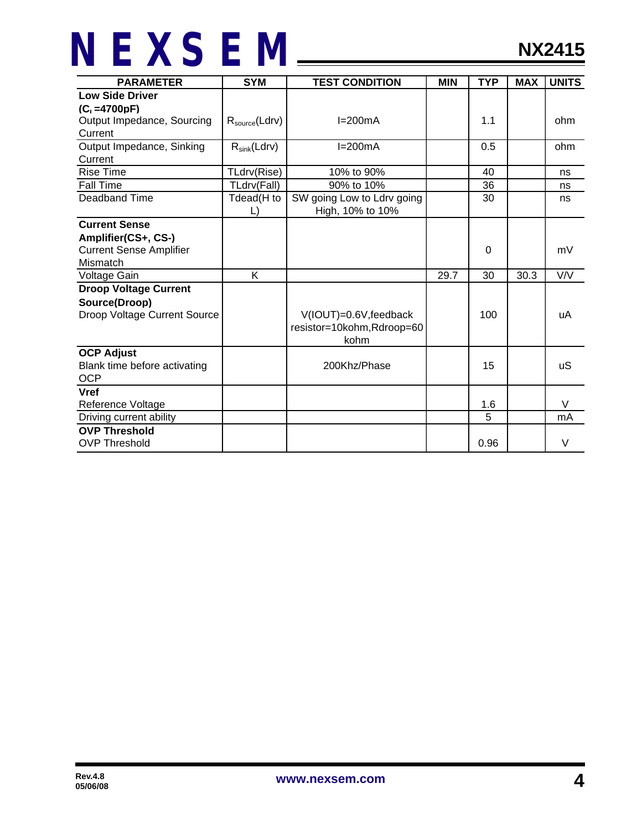| <b>PARAMETER</b>               | <b>SYM</b>         | <b>TEST CONDITION</b>      | <b>MIN</b> | <b>TYP</b> | <b>MAX</b> | <b>UNITS</b> |
|--------------------------------|--------------------|----------------------------|------------|------------|------------|--------------|
| <b>Low Side Driver</b>         |                    |                            |            |            |            |              |
| $(C1=4700pF)$                  |                    |                            |            |            |            |              |
| Output Impedance, Sourcing     | $R_{source}(Ldrv)$ | $I=200mA$                  |            | 1.1        |            | ohm          |
| Current                        |                    |                            |            |            |            |              |
| Output Impedance, Sinking      | $R_{sink}(Ldrv)$   | $I=200mA$                  |            | 0.5        |            | ohm          |
| Current                        |                    |                            |            |            |            |              |
| <b>Rise Time</b>               | TLdrv(Rise)        | 10% to 90%                 |            | 40         |            | ns           |
| <b>Fall Time</b>               | TLdrv(Fall)        | 90% to 10%                 |            | 36         |            | ns           |
| Deadband Time                  | Tdead(H to         | SW going Low to Ldrv going |            | 30         |            | ns           |
|                                |                    | High, 10% to 10%           |            |            |            |              |
| <b>Current Sense</b>           |                    |                            |            |            |            |              |
| Amplifier(CS+, CS-)            |                    |                            |            |            |            |              |
| <b>Current Sense Amplifier</b> |                    |                            |            | 0          |            | mV           |
| Mismatch                       |                    |                            |            |            |            |              |
| Voltage Gain                   | K                  |                            | 29.7       | 30         | 30.3       | V/V          |
| <b>Droop Voltage Current</b>   |                    |                            |            |            |            |              |
| Source(Droop)                  |                    |                            |            |            |            |              |
| Droop Voltage Current Source   |                    | V(IOUT)=0.6V, feedback     |            | 100        |            | uA           |
|                                |                    | resistor=10kohm, Rdroop=60 |            |            |            |              |
|                                |                    | kohm                       |            |            |            |              |
| <b>OCP Adjust</b>              |                    |                            |            |            |            |              |
| Blank time before activating   |                    | 200Khz/Phase               |            | 15         |            | uS           |
| <b>OCP</b>                     |                    |                            |            |            |            |              |
| <b>Vref</b>                    |                    |                            |            |            |            |              |
| Reference Voltage              |                    |                            |            | 1.6        |            | $\vee$       |
| Driving current ability        |                    |                            |            | 5          |            | mA           |
| <b>OVP Threshold</b>           |                    |                            |            |            |            |              |
| <b>OVP Threshold</b>           |                    |                            |            | 0.96       |            | $\vee$       |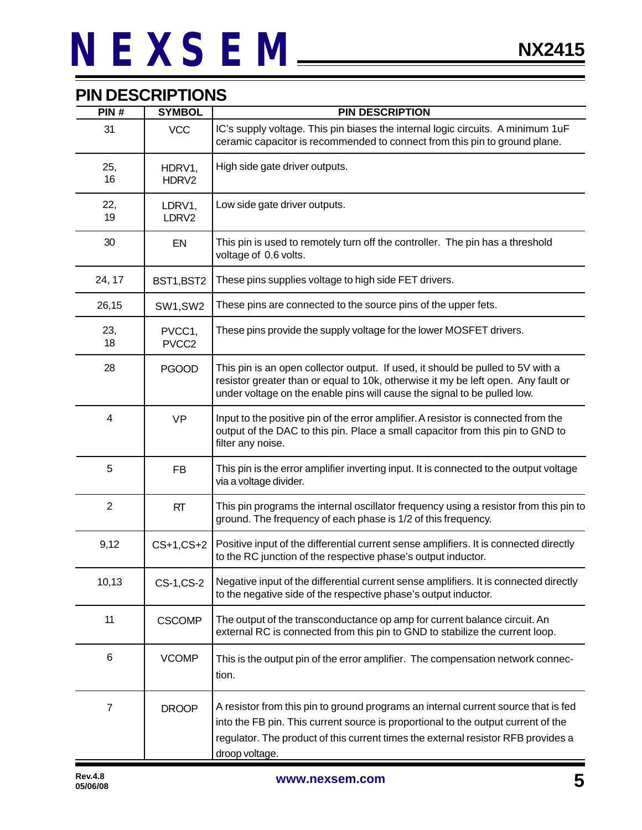### **PIN DESCRIPTIONS**

| PIN#           | <b>SYMBOL</b>               | <b>PIN DESCRIPTION</b>                                                                                                                                                                                                                                                         |  |
|----------------|-----------------------------|--------------------------------------------------------------------------------------------------------------------------------------------------------------------------------------------------------------------------------------------------------------------------------|--|
| 31             | <b>VCC</b>                  | IC's supply voltage. This pin biases the internal logic circuits. A minimum 1uF<br>ceramic capacitor is recommended to connect from this pin to ground plane.                                                                                                                  |  |
| 25,<br>16      | HDRV1,<br>HDRV2             | High side gate driver outputs.                                                                                                                                                                                                                                                 |  |
| 22,<br>19      | LDRV1,<br>LDRV2             | Low side gate driver outputs.                                                                                                                                                                                                                                                  |  |
| 30             | EN                          | This pin is used to remotely turn off the controller. The pin has a threshold<br>voltage of 0.6 volts.                                                                                                                                                                         |  |
| 24, 17         | BST1, BST2                  | These pins supplies voltage to high side FET drivers.                                                                                                                                                                                                                          |  |
| 26,15          | SW1,SW2                     | These pins are connected to the source pins of the upper fets.                                                                                                                                                                                                                 |  |
| 23,<br>18      | PVCC1,<br>PVCC <sub>2</sub> | These pins provide the supply voltage for the lower MOSFET drivers.                                                                                                                                                                                                            |  |
| 28             | <b>PGOOD</b>                | This pin is an open collector output. If used, it should be pulled to 5V with a<br>resistor greater than or equal to 10k, otherwise it my be left open. Any fault or<br>under voltage on the enable pins will cause the signal to be pulled low.                               |  |
| $\overline{4}$ | <b>VP</b>                   | Input to the positive pin of the error amplifier. A resistor is connected from the<br>output of the DAC to this pin. Place a small capacitor from this pin to GND to<br>filter any noise.                                                                                      |  |
| 5              | <b>FB</b>                   | This pin is the error amplifier inverting input. It is connected to the output voltage<br>via a voltage divider.                                                                                                                                                               |  |
| $\overline{2}$ | <b>RT</b>                   | This pin programs the internal oscillator frequency using a resistor from this pin to<br>ground. The frequency of each phase is 1/2 of this frequency.                                                                                                                         |  |
| 9,12           | $CS+1, CS+2$                | Positive input of the differential current sense amplifiers. It is connected directly<br>to the RC junction of the respective phase's output inductor.                                                                                                                         |  |
| 10,13          | CS-1,CS-2                   | Negative input of the differential current sense amplifiers. It is connected directly<br>to the negative side of the respective phase's output inductor.                                                                                                                       |  |
| 11             | <b>CSCOMP</b>               | The output of the transconductance op amp for current balance circuit. An<br>external RC is connected from this pin to GND to stabilize the current loop.                                                                                                                      |  |
| 6              | <b>VCOMP</b>                | This is the output pin of the error amplifier. The compensation network connec-<br>tion.                                                                                                                                                                                       |  |
| $\overline{7}$ | <b>DROOP</b>                | A resistor from this pin to ground programs an internal current source that is fed<br>into the FB pin. This current source is proportional to the output current of the<br>regulator. The product of this current times the external resistor RFB provides a<br>droop voltage. |  |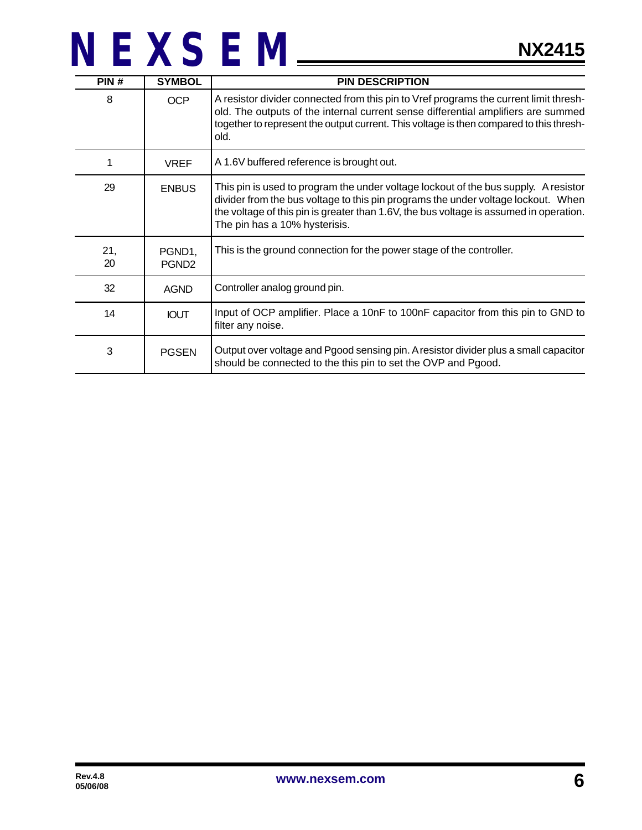| PIN#      | <b>SYMBOL</b>               | <b>PIN DESCRIPTION</b>                                                                                                                                                                                                                                                                              |
|-----------|-----------------------------|-----------------------------------------------------------------------------------------------------------------------------------------------------------------------------------------------------------------------------------------------------------------------------------------------------|
| 8         | <b>OCP</b>                  | A resistor divider connected from this pin to Vref programs the current limit thresh-<br>old. The outputs of the internal current sense differential amplifiers are summed<br>together to represent the output current. This voltage is then compared to this thresh-<br>old.                       |
| 1         | <b>VREF</b>                 | A 1.6V buffered reference is brought out.                                                                                                                                                                                                                                                           |
| 29        | <b>ENBUS</b>                | This pin is used to program the under voltage lockout of the bus supply. A resistor<br>divider from the bus voltage to this pin programs the under voltage lockout. When<br>the voltage of this pin is greater than 1.6V, the bus voltage is assumed in operation.<br>The pin has a 10% hysterisis. |
| 21,<br>20 | PGND1,<br>PGND <sub>2</sub> | This is the ground connection for the power stage of the controller.                                                                                                                                                                                                                                |
| 32        | <b>AGND</b>                 | Controller analog ground pin.                                                                                                                                                                                                                                                                       |
| 14        | <b>IOUT</b>                 | Input of OCP amplifier. Place a 10nF to 100nF capacitor from this pin to GND to<br>filter any noise.                                                                                                                                                                                                |
| 3         | <b>PGSEN</b>                | Output over voltage and Pgood sensing pin. A resistor divider plus a small capacitor<br>should be connected to the this pin to set the OVP and Pgood.                                                                                                                                               |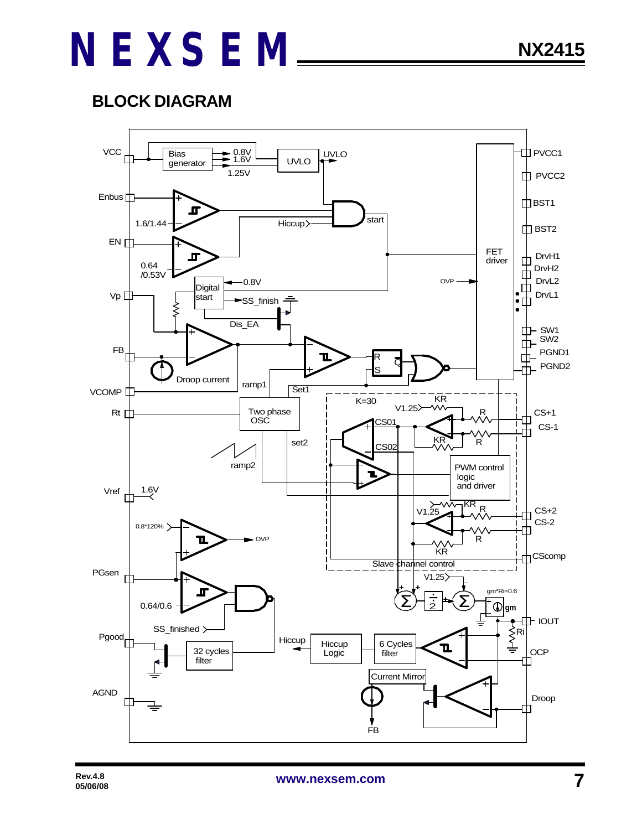### **BLOCK DIAGRAM**

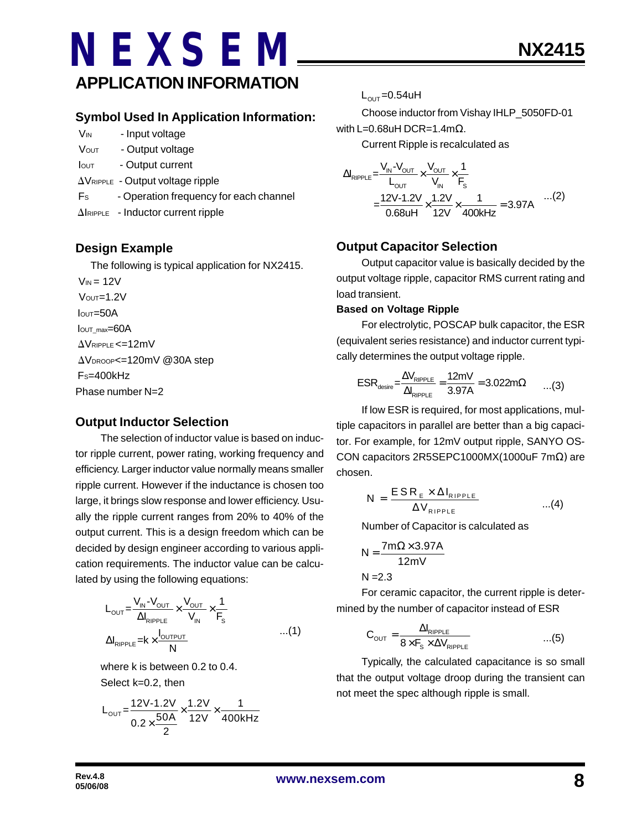### **NEXSEM APPLICATION INFORMATION**

- V<sub>IN</sub> Input voltage
- VOUT Output voltage
- Iout Output current
- $\Delta V_{RIPPLE}$  Output voltage ripple
- F<sub>s</sub> Operation frequency for each channel
- $\Delta$ IRIPPLE Inductor current ripple

#### **Design Example**

The following is typical application for NX2415.

 $V_{IN} = 12V$  $V$ OUT= $1.2V$  $I<sub>OUT</sub>=50A$ IOUT\_max=60A  $\Delta V$ RIPPLE <=12mV AVDROOP<=120mV @30A step FS=400kHz Phase number N=2

#### **Output Inductor Selection**

The selection of inductor value is based on inductor ripple current, power rating, working frequency and efficiency. Larger inductor value normally means smaller ripple current. However if the inductance is chosen too large, it brings slow response and lower efficiency. Usually the ripple current ranges from 20% to 40% of the output current. This is a design freedom which can be decided by design engineer according to various application requirements. The inductor value can be calculated by using the following equations:

$$
L_{\text{OUT}} = \frac{V_{\text{IN}} - V_{\text{OUT}}}{\Delta I_{\text{RIPPLE}}} \times \frac{V_{\text{OUT}}}{V_{\text{IN}}} \times \frac{1}{F_s}
$$
  
 
$$
\Delta I_{\text{RIPPLE}} = k \times \frac{I_{\text{OUTPUT}}}{N} \qquad ...(1)
$$

where k is between 0.2 to 0.4. Select k=0.2, then

$$
L_{\text{OUT}} = \frac{12V - 1.2V}{0.2 \times \frac{50A}{2}} \times \frac{1.2V}{12V} \times \frac{1}{400kHz}
$$

 $L_{\text{OUT}} = 0.54$ uH

Choose inductor from Vishay IHLP\_5050FD-01 with L=0.68uH DCR=1.4mΩ.

Current Ripple is recalculated as

$$
\Delta I_{\text{RIPPLE}} = \frac{V_{\text{IN}} - V_{\text{OUT}}}{L_{\text{OUT}}} \times \frac{V_{\text{OUT}}}{V_{\text{IN}}} \times \frac{1}{F_{\text{s}}}
$$
  
= 
$$
\frac{12V - 1.2V}{0.68 \text{UH}} \times \frac{1.2V}{12V} \times \frac{1}{400 \text{kHz}} = 3.97 \text{A}
$$
...(2)

### **Output Capacitor Selection**

Output capacitor value is basically decided by the output voltage ripple, capacitor RMS current rating and load transient.

#### **Based on Voltage Ripple**

For electrolytic, POSCAP bulk capacitor, the ESR (equivalent series resistance) and inductor current typically determines the output voltage ripple.

$$
ESR_{\text{desire}} = \frac{\Delta V_{\text{RIPPLE}}}{\Delta I_{\text{RIPPLE}}} = \frac{12mV}{3.97A} = 3.022m\Omega \qquad ...(3)
$$

If low ESR is required, for most applications, multiple capacitors in parallel are better than a big capacitor. For example, for 12mV output ripple, SANYO OS-CON capacitors 2R5SEPC1000MX(1000uF 7mΩ) are chosen.

$$
N = \frac{ESR_{E} \times \Delta I_{RIPPLE}}{\Delta V_{RIPPLE}} \qquad ...(4)
$$

Number of Capacitor is calculated as

$$
N = \frac{7m\Omega \times 3.97A}{12mV}
$$

 $N = 2.3$ 

For ceramic capacitor, the current ripple is determined by the number of capacitor instead of ESR

$$
C_{\text{OUT}} = \frac{\Delta I_{\text{RIPPLE}}}{8 \times F_{\text{S}} \times \Delta V_{\text{RIPPLE}}} \qquad ...(5)
$$

Typically, the calculated capacitance is so small that the output voltage droop during the transient can not meet the spec although ripple is small.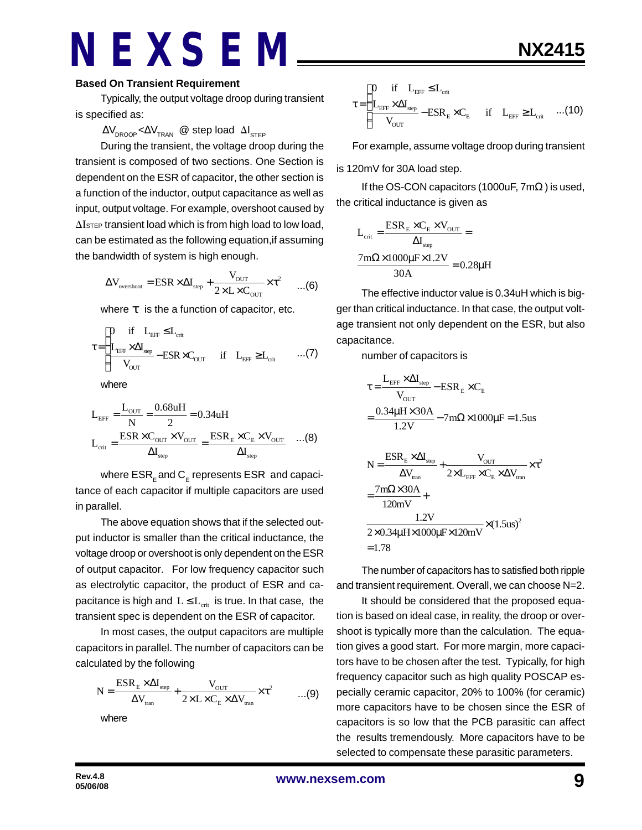#### **Based On Transient Requirement**

Typically, the output voltage droop during transient is specified as:

#### $\Delta\rm{V}_{\rm{DROOP}}$ < $\Delta\rm{V}_{\rm{TRAN}}$  @ step load  $\Delta\rm{I}_{\rm{STEP}}$

During the transient, the voltage droop during the transient is composed of two sections. One Section is dependent on the ESR of capacitor, the other section is a function of the inductor, output capacitance as well as input, output voltage. For example, overshoot caused by  $\Delta I$ <sub>STEP</sub> transient load which is from high load to low load, can be estimated as the following equation,if assuming the bandwidth of system is high enough.

$$
\Delta V_{\text{overshoot}} = \text{ESR} \times \Delta I_{\text{step}} + \frac{V_{\text{OUT}}}{2 \times L \times C_{\text{OUT}}} \times \tau^2 \qquad ...(6)
$$

where *t* is the a function of capacitor, etc.

$$
\tau \!=\! \begin{cases} \!\!\!\!\! 0 \quad \text{if} \quad L_{\text{eff}} \leq \!L_{\text{crit}} \\ \!\!\!\!\! L_{\text{eff}} \times \Delta I_{\text{step}} - \text{ESR} \times C_{\text{OUT}} \quad \text{if} \quad L_{\text{eff}} \geq \!L_{\text{crit}} \qquad ... (7) \end{cases}
$$

where

$$
L_{\text{EFF}} = \frac{L_{\text{OUT}}}{N} = \frac{0.68uH}{2} = 0.34uH
$$
  

$$
L_{\text{crit}} = \frac{ESR \times C_{\text{OUT}} \times V_{\text{OUT}}}{\Delta I_{\text{step}}} = \frac{ESR_{\text{E}} \times C_{\text{E}} \times V_{\text{OUT}}}{\Delta I_{\text{step}}} \quad ...(8)
$$

where  $\mathsf{ESR}_\mathsf{E}$  and  $\mathsf{C}_\mathsf{E}$  represents  $\mathsf{ESR}\,$  and capacitance of each capacitor if multiple capacitors are used in parallel.

The above equation shows that if the selected output inductor is smaller than the critical inductance, the voltage droop or overshoot is only dependent on the ESR of output capacitor. For low frequency capacitor such as electrolytic capacitor, the product of ESR and capacitance is high and  $L \le L_{crit}$  is true. In that case, the transient spec is dependent on the ESR of capacitor.

In most cases, the output capacitors are multiple capacitors in parallel. The number of capacitors can be calculated by the following

$$
N = \frac{ESR_{E} \times \Delta I_{\text{step}}}{\Delta V_{\text{tran}}} + \frac{V_{\text{OUT}}}{2 \times L \times C_{E} \times \Delta V_{\text{tran}}} \times \tau^{2}
$$
...(9)

where

$$
\tau\!=\!\begin{cases} \!\!\!\!\begin{array}{cccc} 0 & \!\!\!\text{if} & \!\!\!\text{L}_{\text{EFF}} \!\leq\! L_{\text{crit}} \\ \!\!\!\!\text{L}_{\text{EFF}}\!\times\!\Delta\! I_{\text{step}} \!-\! \text{ESR}_{\text{E}}\!\times\! C_{\text{E}} & \!\!\!\text{if} & \!\!\!\text{L}_{\text{eff}} \!\geq\! L_{\text{crit}} \! \end{array} \!\!\!\!\!\!\! \ldots \end{cases} \!\!\!\!\! \ldots \end{cases} \!\!\!\!\!\! \text{(10)}
$$

For example, assume voltage droop during transient

is 120mV for 30A load step.

If the OS-CON capacitors (1000uF,  $7m\Omega$ ) is used, the critical inductance is given as

$$
L_{\text{crit}} = \frac{ESR_{\text{E}} \times C_{\text{E}} \times V_{\text{OUT}}}{\Delta I_{\text{step}}} =
$$

$$
\frac{7\text{m}\Omega \times 1000\mu\text{F} \times 1.2V}{30\text{A}} = 0.28\mu\text{H}
$$

The effective inductor value is 0.34uH which is bigger than critical inductance. In that case, the output voltage transient not only dependent on the ESR, but also capacitance.

number of capacitors is

$$
\tau = \frac{L_{\text{EFF}} \times \Delta I_{\text{step}}}{V_{\text{OUT}}} - \text{ESR}_{\text{E}} \times C_{\text{E}}
$$
\n
$$
= \frac{0.34 \mu H \times 30 \text{A}}{1.2 \text{V}} - 7 \text{m}\Omega \times 1000 \mu \text{F} = 1.5 \text{us}
$$
\n
$$
N = \frac{\text{ESR}_{\text{E}} \times \Delta I_{\text{step}}}{\Delta V_{\text{tran}}} + \frac{V_{\text{OUT}}}{2 \times L_{\text{EFF}} \times C_{\text{E}} \times \Delta V_{\text{tran}}} \times \tau^{2}
$$
\n
$$
= \frac{7 \text{m}\Omega \times 30 \text{A}}{120 \text{mV}} + \frac{1.2 \text{V}}{2 \times 0.34 \mu \text{H} \times 1000 \mu \text{F} \times 120 \text{mV}} \times (1.5 \text{us})^{2}
$$
\n= 1.78

The number of capacitors has to satisfied both ripple and transient requirement. Overall, we can choose N=2.

It should be considered that the proposed equation is based on ideal case, in reality, the droop or overshoot is typically more than the calculation. The equation gives a good start. For more margin, more capacitors have to be chosen after the test. Typically, for high frequency capacitor such as high quality POSCAP especially ceramic capacitor, 20% to 100% (for ceramic) more capacitors have to be chosen since the ESR of capacitors is so low that the PCB parasitic can affect the results tremendously. More capacitors have to be selected to compensate these parasitic parameters.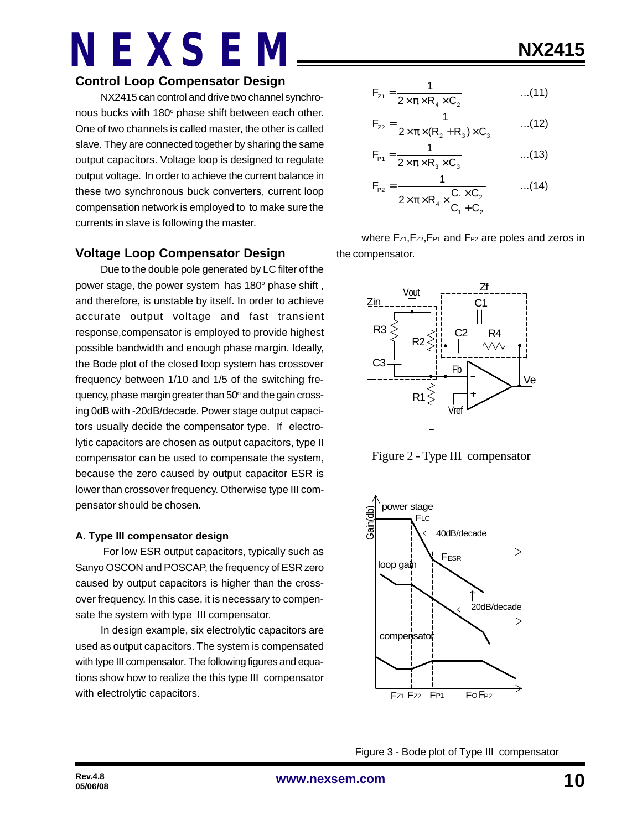### **Control Loop Compensator Design**

NX2415 can control and drive two channel synchronous bucks with 180° phase shift between each other. One of two channels is called master, the other is called slave. They are connected together by sharing the same output capacitors. Voltage loop is designed to regulate output voltage. In order to achieve the current balance in these two synchronous buck converters, current loop compensation network is employed to to make sure the currents in slave is following the master.

### **Voltage Loop Compensator Design**

Due to the double pole generated by LC filter of the power stage, the power system has 180° phase shift, and therefore, is unstable by itself. In order to achieve accurate output voltage and fast transient response,compensator is employed to provide highest possible bandwidth and enough phase margin. Ideally, the Bode plot of the closed loop system has crossover frequency between 1/10 and 1/5 of the switching frequency, phase margin greater than 50° and the gain crossing 0dB with -20dB/decade. Power stage output capacitors usually decide the compensator type. If electrolytic capacitors are chosen as output capacitors, type II compensator can be used to compensate the system, because the zero caused by output capacitor ESR is lower than crossover frequency. Otherwise type III compensator should be chosen.

#### **A. Type III compensator design**

 For low ESR output capacitors, typically such as Sanyo OSCON and POSCAP, the frequency of ESR zero caused by output capacitors is higher than the crossover frequency. In this case, it is necessary to compensate the system with type III compensator.

In design example, six electrolytic capacitors are used as output capacitors. The system is compensated with type III compensator. The following figures and equations show how to realize the this type III compensator with electrolytic capacitors.

$$
F_{z1} = \frac{1}{2 \times \pi \times R_4 \times C_2}
$$
...(11)

$$
F_{zz} = \frac{1}{2 \times \pi \times (R_2 + R_3) \times C_3}
$$
...(12)

$$
F_{p_1} = \frac{1}{2 \times \pi \times R_3 \times C_3}
$$
...(13)

$$
F_{P2} = \frac{1}{2 \times \pi \times R_4 \times \frac{C_1 \times C_2}{C_1 + C_2}} \qquad ...(14)
$$

where Fz1, Fz2, FP1 and FP2 are poles and zeros in the compensator.



Figure 2 - Type III compensator



Figure 3 - Bode plot of Type III compensator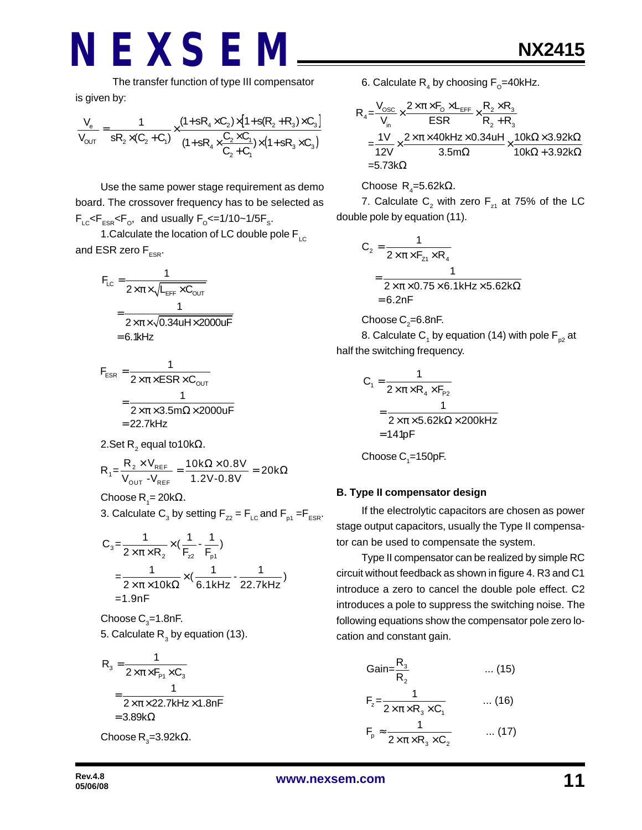The transfer function of type III compensator is given by:

$$
\frac{V_e}{V_{OUT}}=\frac{1}{sR_2\times(C_2+C_1)}\times\frac{(1+sR_4\times C_2)\times[1+s(R_2+R_3)\times C_3]}{(1+sR_4\times\frac{C_2\times C_1}{C_2+C_1})\times(1+sR_3\times C_3)}
$$

Use the same power stage requirement as demo board. The crossover frequency has to be selected as  $F_{LC}$ < $F_{ESR}$ < $F_{O}$ , and usually  $F_{O}$ <=1/10~1/5 $F_{S}$ .

1. Calculate the location of LC double pole  $F_{\text{LC}}$ and ESR zero  $F_{ESR}$ .

$$
F_{LC} = \frac{1}{2 \times \pi \times \sqrt{L_{EFF} \times C_{OUT}}}
$$

$$
= \frac{1}{2 \times \pi \times \sqrt{0.34uH \times 2000uF}}
$$

$$
= 6.1kHz
$$

$$
F_{ESR} = \frac{1}{2 \times \pi \times ESR \times C_{OUT}}
$$
  
= 
$$
\frac{1}{2 \times \pi \times 3.5 \text{m}\Omega \times 2000 \text{uF}}
$$
  
= 22.7kHz

2.Set R $_{2}$  equal to10kΩ.

$$
R_{1} = \frac{R_{2} \times V_{REF}}{V_{OUT} - V_{REF}} = \frac{10k\Omega \times 0.8V}{1.2V - 0.8V} = 20k\Omega
$$

Choose R<sub>1</sub>= 20kΩ.

3. Calculate  $\mathsf{C}_3$  by setting  $\mathsf{F}_{z2}$  =  $\mathsf{F}_{\mathsf{LC}}$  and  $\mathsf{F}_{\mathsf{p1}}$  = $\mathsf{F}_{\mathsf{ESR}}$ .

$$
C_3 = \frac{1}{2 \times \pi \times R_2} \times (\frac{1}{F_{22}} - \frac{1}{F_{p1}})
$$
  
=  $\frac{1}{2 \times \pi \times 10k\Omega} \times (\frac{1}{6.1kHz} - \frac{1}{22.7kHz})$   
= 1.9nF

Choose  $\mathrm{C}_3^{}$ =1.8nF. 5. Calculate  $\mathsf{R}_{_{3}}$  by equation (13).

$$
R_{3} = \frac{1}{2 \times \pi \times F_{P1} \times C_{3}}
$$
  
= 
$$
\frac{1}{2 \times \pi \times 22.7 \text{kHz} \times 1.8 \text{nF}}
$$
  
= 3.89kΩ  
Choose R<sub>3</sub>=3.92kΩ.

6. Calculate  $\mathsf{R}_{_4}$  by choosing  $\mathsf{F}_{_{\text{\tiny O}}}$ =40kHz.

$$
R_4 = \frac{V_{\text{osc}}}{V_{\text{in}}} \times \frac{2 \times \pi \times F_0 \times L_{\text{EFF}}}{ESR} \times \frac{R_2 \times R_3}{R_2 + R_3}
$$
  
= 
$$
\frac{1V}{12V} \times \frac{2 \times \pi \times 40kHz \times 0.34uH}{3.5m\Omega} \times \frac{10k\Omega \times 3.92k\Omega}{10k\Omega + 3.92k\Omega}
$$
  
= 5.73k\Omega

#### Choose  $\mathsf{R}_{\mathsf{4}}$ =5.62k $\Omega$ .

7. Calculate  $\mathsf{C}_2^{}$  with zero  $\mathsf{F}_{\mathsf{z}^1}$  at 75% of the LC double pole by equation (11).

$$
C_2 = \frac{1}{2 \times \pi \times F_{z1} \times R_4}
$$
  
= 
$$
\frac{1}{2 \times \pi \times 0.75 \times 6.1 \text{kHz} \times 5.62 \text{k}\Omega}
$$
  
= 6.2nF

Choose C $_{\textrm{\tiny{2}}}$ =6.8nF.

8. Calculate C<sub>1</sub> by equation (14) with pole F<sub>p2</sub> at half the switching frequency.

$$
C_1 = \frac{1}{2 \times \pi \times R_4 \times F_{P2}}
$$
  
= 
$$
\frac{1}{2 \times \pi \times 5.62 k\Omega \times 200kHz}
$$
  
= 141pF

Choose  $\mathrm{C}_\text{\tiny{1}}$ =150pF.

#### **B. Type II compensator design**

If the electrolytic capacitors are chosen as power stage output capacitors, usually the Type II compensator can be used to compensate the system.

Type II compensator can be realized by simple RC circuit without feedback as shown in figure 4. R3 and C1 introduce a zero to cancel the double pole effect. C2 introduces a pole to suppress the switching noise. The following equations show the compensator pole zero location and constant gain.

$$
Gain = \frac{R_3}{R_2} \qquad \qquad \dots (15)
$$
\n
$$
F_z = \frac{1}{2 \times \pi \times R_3 \times C_1} \qquad \qquad \dots (16)
$$
\n
$$
F_p \approx \frac{1}{2 \times \pi \times R_3 \times C_2} \qquad \qquad \dots (17)
$$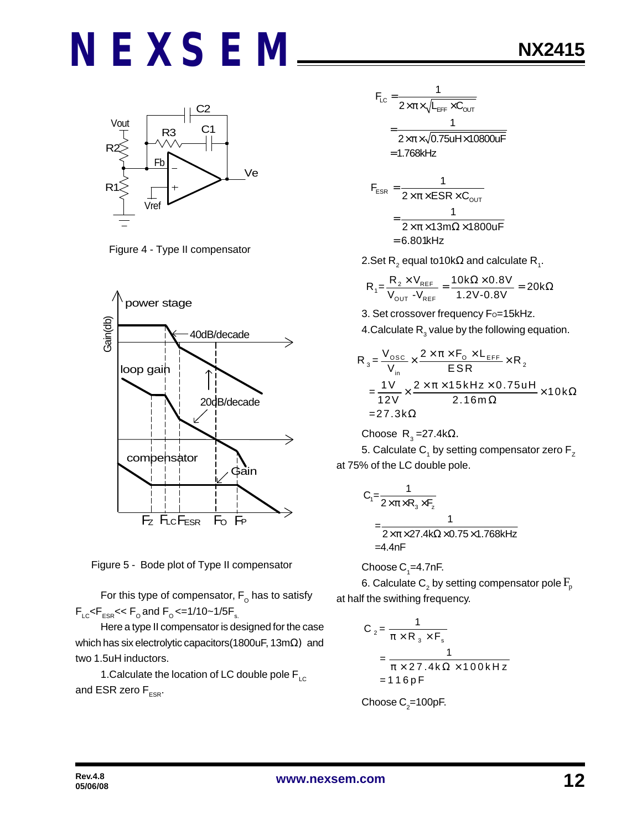

Figure 4 - Type II compensator



Figure 5 - Bode plot of Type II compensator

For this type of compensator,  $\mathsf{F}_\mathsf{o}$  has to satisfy  $F_{LC}$ < $F_{ESR}$ << $F_{O}$  and  $F_{O}$  <=1/10~1/5 $F_{S}$ .

Here a type II compensator is designed for the case which has six electrolytic capacitors(1800uF, 13mΩ) and two 1.5uH inductors.

1.Calculate the location of LC double pole  $\mathsf{F}_{\scriptscriptstyle{\mathsf{LC}}}$ and ESR zero  $F_{ESR}$ .

$$
F_{LC} = \frac{1}{2 \times \pi \times \sqrt{L_{EFF} \times C_{OUT}}}
$$

$$
= \frac{1}{2 \times \pi \times \sqrt{0.75 \text{uH} \times 10800 \text{uF}}}
$$

$$
= 1.768 \text{kHz}
$$

$$
F_{ESR} = \frac{1}{2 \times \pi \times ESR \times C_{OUT}}
$$
  
= 
$$
\frac{1}{2 \times \pi \times 13 \text{ m}\Omega \times 1800 \text{ U}} = 6.801 \text{kHz}
$$

 $\overline{\phantom{a}}$ 

2.Set R $_2$  equal to10k $\Omega$  and calculate R $_{_1}$ .

$$
R_1 = \frac{R_2 \times V_{REF}}{V_{OUT} - V_{REF}} = \frac{10k\Omega \times 0.8V}{1.2V - 0.8V} = 20k\Omega
$$

3. Set crossover frequency Fo=15kHz. 4.Calculate  $\mathsf{R}_{_{3}}$  value by the following equation.

$$
R_{3} = \frac{V_{\text{osc}}}{V_{\text{in}}} \times \frac{2 \times \pi \times F_{\text{o}} \times L_{\text{EFF}}}{ESR} \times R_{2}
$$
  
= 
$$
\frac{1V}{12V} \times \frac{2 \times \pi \times 15 \text{kHz} \times 0.75 \text{uH}}{2.16 \text{m}\Omega} \times 10 \text{k}\Omega
$$
  
= 27.3 k $\Omega$ 

Choose R<sub>3</sub>=27.4kΩ.

5. Calculate  $\mathsf{C}_\mathtt{1}$  by setting compensator zero  $\mathsf{F}_\mathtt{Z}$ at 75% of the LC double pole.

$$
C_{1} = \frac{1}{2 \times \pi \times R_{3} \times F_{z}}
$$
\n
$$
= \frac{1}{2 \times \pi \times 27.4 k \Omega \times 0.75 \times 1.768 k Hz}
$$
\n=4.4 nF

Choose  $\mathsf{C}_\text{\tiny{1}}$ =4.7nF.

6. Calculate  $\mathsf{C}_\mathsf{2}$  by setting compensator pole  $\mathrm{F}_\mathsf{p}$ at half the swithing frequency.

$$
C_2 = \frac{1}{\pi \times R_3 \times F_s}
$$
  
= 
$$
\frac{1}{\pi \times 27.4 \text{ k}\Omega \times 100 \text{ kHz}}
$$
  
= 116pF

Choose 
$$
C_2 = 100pF
$$
.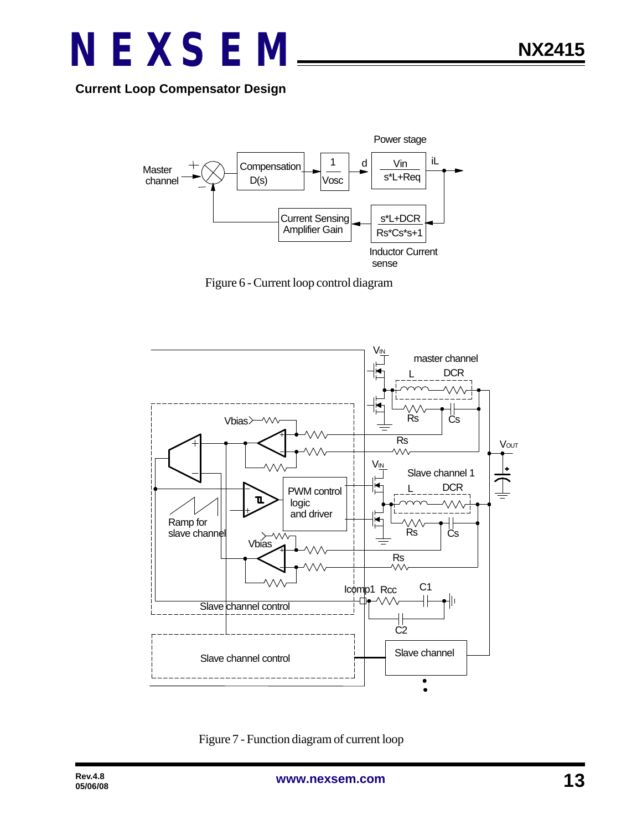

**Current Loop Compensator Design**



Figure 6 - Current loop control diagram



Figure 7 - Function diagram of current loop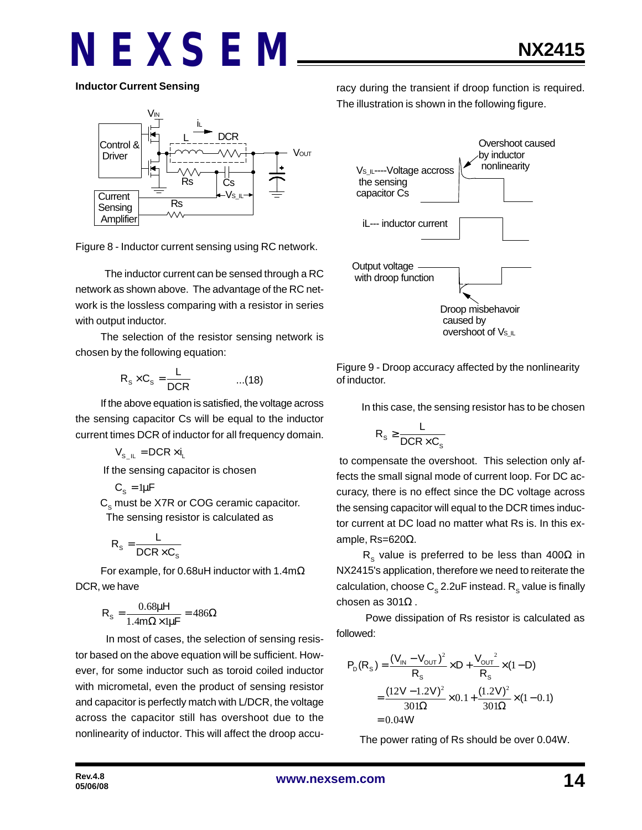**Inductor Current Sensing**



Figure 8 - Inductor current sensing using RC network.

 The inductor current can be sensed through a RC network as shown above. The advantage of the RC network is the lossless comparing with a resistor in series with output inductor.

The selection of the resistor sensing network is chosen by the following equation:

$$
R_s \times C_s = \frac{L}{DCR}
$$
 ...(18)

If the above equation is satisfied, the voltage across the sensing capacitor Cs will be equal to the inductor current times DCR of inductor for all frequency domain.

 $V_{\rm s}$   $_{\rm II}$  = DCR  $\times$  i<sub>i</sub>

If the sensing capacitor is chosen

$$
C_{s} = 1\mu F
$$

 $\textsf{C}_\text{s}$  must be X7R or COG ceramic capacitor. The sensing resistor is calculated as

$$
R_{s} = \frac{L}{DCR \times C_{s}}
$$

For example, for 0.68uH inductor with 1.4mΩ DCR, we have

$$
R_s = \frac{0.68\mu H}{1.4m\Omega \times 1\mu F} = 486\Omega
$$

 In most of cases, the selection of sensing resistor based on the above equation will be sufficient. However, for some inductor such as toroid coiled inductor with micrometal, even the product of sensing resistor and capacitor is perfectly match with L/DCR, the voltage across the capacitor still has overshoot due to the nonlinearity of inductor. This will affect the droop accuracy during the transient if droop function is required. The illustration is shown in the following figure.



Figure 9 - Droop accuracy affected by the nonlinearity of inductor.

In this case, the sensing resistor has to be chosen

$$
R_s \geq \frac{L}{DCR \times C_s}
$$

 to compensate the overshoot. This selection only affects the small signal mode of current loop. For DC accuracy, there is no effect since the DC voltage across the sensing capacitor will equal to the DCR times inductor current at DC load no matter what Rs is. In this example, Rs=620Ω.

R<sub>s</sub> value is preferred to be less than 400 $\Omega$  in NX2415's application, therefore we need to reiterate the calculation, choose  $\textsf{C}_\text{s}$  2.2uF instead.  $\textsf{R}_\text{s}$  value is finally chosen as 301Ω .

 Powe dissipation of Rs resistor is calculated as followed:

$$
P_D(R_S) = \frac{(V_{IN} - V_{OUT})^2}{R_S} \times D + \frac{V_{OUT}^2}{R_S} \times (1 - D)
$$
  
= 
$$
\frac{(12V - 1.2V)^2}{301\Omega} \times 0.1 + \frac{(1.2V)^2}{301\Omega} \times (1 - 0.1)
$$
  
= 0.04W

The power rating of Rs should be over 0.04W.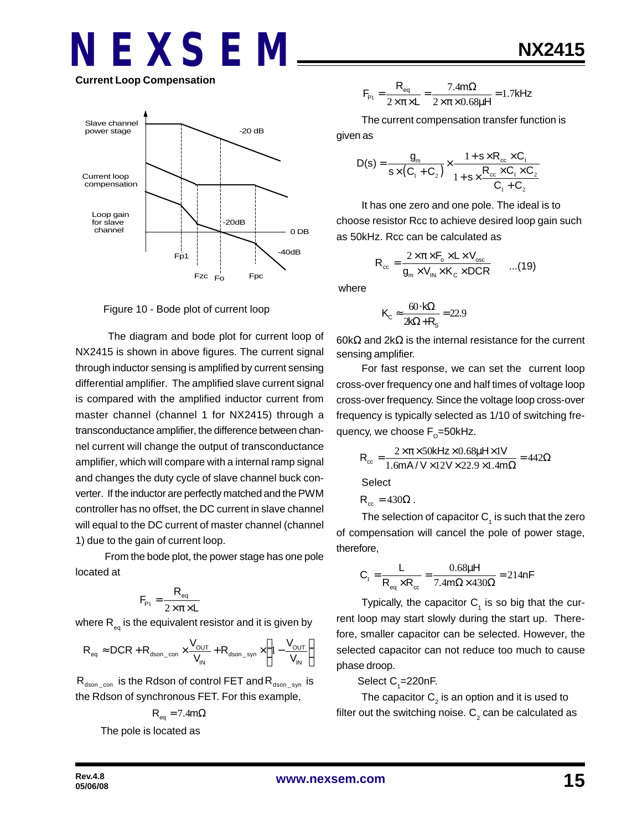### **NEXSEM Current Loop Compensation**



Figure 10 - Bode plot of current loop

 The diagram and bode plot for current loop of NX2415 is shown in above figures. The current signal through inductor sensing is amplified by current sensing differential amplifier. The amplified slave current signal is compared with the amplified inductor current from master channel (channel 1 for NX2415) through a transconductance amplifier, the difference between channel current will change the output of transconductance amplifier, which will compare with a internal ramp signal and changes the duty cycle of slave channel buck converter. If the inductor are perfectly matched and the PWM controller has no offset, the DC current in slave channel will equal to the DC current of master channel (channel 1) due to the gain of current loop.

 From the bode plot, the power stage has one pole located at

$$
F_{\rm p1} = \frac{R_{\rm eq}}{2 \times \pi \times L}
$$

where  $\mathsf{R}_{_\mathsf{eq}}$  is the equivalent resistor and it is given by

$$
R_{\text{eq}} \approx DCR + R_{\text{dson\_con}} \times \frac{V_{\text{OUT}}}{V_{\text{IN}}} + R_{\text{dson\_syn}} \times \left(1 - \frac{V_{\text{OUT}}}{V_{\text{IN}}}\right)
$$

 $R_{dson_{con}}$  is the Rdson of control FET and  $R_{dson_{con}}$  is the Rdson of synchronous FET. For this example,

$$
R_{eq} = 7.4 m\Omega
$$

The pole is located as

$$
F_{\rm p_1} = \frac{R_{\rm eq}}{2 \times \pi \times L} = \frac{7.4 \text{ m}\Omega}{2 \times \pi \times 0.68 \mu H} = 1.7 \text{kHz}
$$

The current compensation transfer function is

given as

$$
D(s) = \frac{g_m}{s \times (C_1 + C_2)} \times \frac{1 + s \times R_{cc} \times C_1}{1 + s \times \frac{R_{cc} \times C_1 \times C_2}{C_1 + C_2}}
$$

It has one zero and one pole. The ideal is to choose resistor Rcc to achieve desired loop gain such as 50kHz. Rcc can be calculated as

$$
R_{\rm cc} = \frac{2 \times \pi \times F_{\rm o} \times L \times V_{\rm osc}}{g_{\rm m} \times V_{\rm IN} \times K_{\rm C} \times DCR} \qquad ...(19)
$$

where

$$
K_{\rm C} \approx \frac{60 \cdot k\Omega}{2k\Omega + R_{\rm s}} = 22.9
$$

60kΩ and 2kΩ is the internal resistance for the current sensing amplifier.

For fast response, we can set the current loop cross-over frequency one and half times of voltage loop cross-over frequency. Since the voltage loop cross-over frequency is typically selected as 1/10 of switching frequency, we choose F<sub>o</sub>=50kHz.

$$
R_{\infty} = \frac{2 \times \pi \times 50 \text{kHz} \times 0.68 \mu \text{Hz} \times 1 \text{V}}{1.6 \text{mA} / \text{V} \times 12 \text{V} \times 22.9 \times 1.4 \text{m}\Omega} = 442 \Omega
$$

**Select** 

$$
R_{cc} = 430\Omega.
$$

The selection of capacitor  $\mathsf{C}_\mathtt{1}$  is such that the zero of compensation will cancel the pole of power stage, therefore,

$$
C_1 = \frac{L}{R_{eq} \times R_{cc}} = \frac{0.68 \mu H}{7.4 m \Omega \times 430 \Omega} = 214 nF
$$

Typically, the capacitor  $C_1$  is so big that the current loop may start slowly during the start up. Therefore, smaller capacitor can be selected. However, the selected capacitor can not reduce too much to cause phase droop.

Select  $C_{1}$ =220nF.

The capacitor  $\mathsf{C}_2^{}$  is an option and it is used to filter out the switching noise.  ${\sf C}_2$  can be calculated as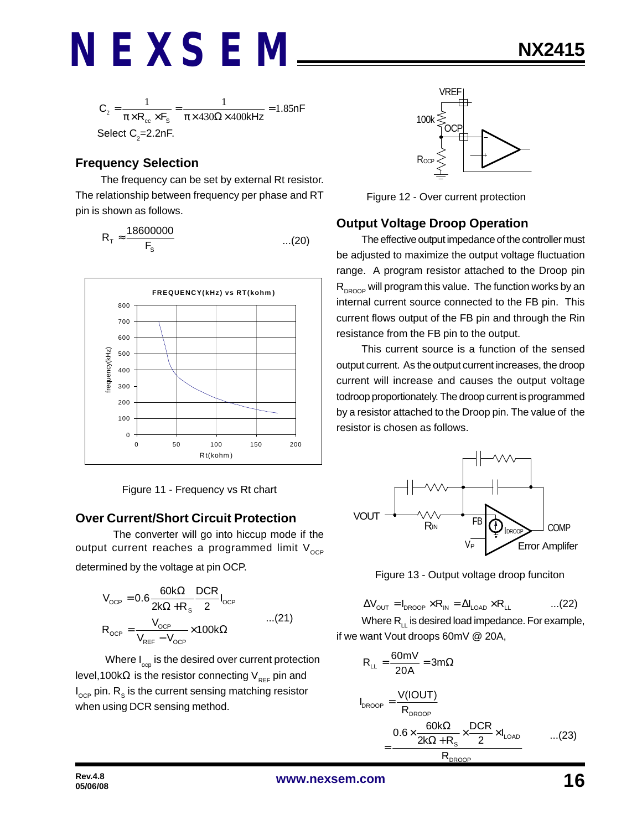$$
C_2 = \frac{1}{\pi \times R_{cc} \times F_s} = \frac{1}{\pi \times 430\Omega \times 400 \text{kHz}} = 1.85 \text{nF}
$$
  
Select C<sub>2</sub>=2.2nF.

#### **Frequency Selection**

The frequency can be set by external Rt resistor. The relationship between frequency per phase and RT pin is shown as follows.

$$
R_{\tau} \approx \frac{18600000}{F_s} \qquad \qquad \dots (20)
$$





#### **Over Current/Short Circuit Protection**

The converter will go into hiccup mode if the output current reaches a programmed limit  $V_{OCP}$ determined by the voltage at pin OCP.

$$
V_{OCP} = 0.6 \frac{60k\Omega}{2k\Omega + R_s} \frac{DCR}{2} I_{OCP}
$$
  

$$
R_{OCP} = \frac{V_{OCP}}{V_{REF} - V_{OCP}} \times 100k\Omega
$$
...(21)

Where  $I_{\text{opp}}$  is the desired over current protection level,100kΩ is the resistor connecting  $V_{REF}$  pin and  $\mathsf{I}_{\mathsf{OCP}}$  pin.  $\mathsf{R}_{_{\mathbf{S}}}$  is the current sensing matching resistor when using DCR sensing method.



Figure 12 - Over current protection

#### **Output Voltage Droop Operation**

The effective output impedance of the controller must be adjusted to maximize the output voltage fluctuation range. A program resistor attached to the Droop pin  $R_{DROOP}$  will program this value. The function works by an internal current source connected to the FB pin. This current flows output of the FB pin and through the Rin resistance from the FB pin to the output.

This current source is a function of the sensed output current. As the output current increases, the droop current will increase and causes the output voltage todroop proportionately. The droop current is programmed by a resistor attached to the Droop pin. The value of the resistor is chosen as follows.



Figure 13 - Output voltage droop funciton

$$
\Delta V_{\text{OUT}} = I_{\text{DROOP}} \times R_{\text{IN}} = \Delta I_{\text{LOAD}} \times R_{\text{LL}} \quad ...(22)
$$

Where  $R_{\perp}$  is desired load impedance. For example, if we want Vout droops 60mV @ 20A,

$$
R_{LL} = \frac{60 \text{mV}}{20 \text{A}} = 3 \text{m}\Omega
$$
\n
$$
I_{DROOP} = \frac{V(IOUT)}{R_{DROOP}}
$$
\n
$$
= \frac{0.6 \times \frac{60 \text{k}\Omega}{2 \text{k}\Omega + \text{R}_s} \times \frac{DCR}{2} \times I_{LOAD}}{R_{DROOP}} \qquad \dots (23)
$$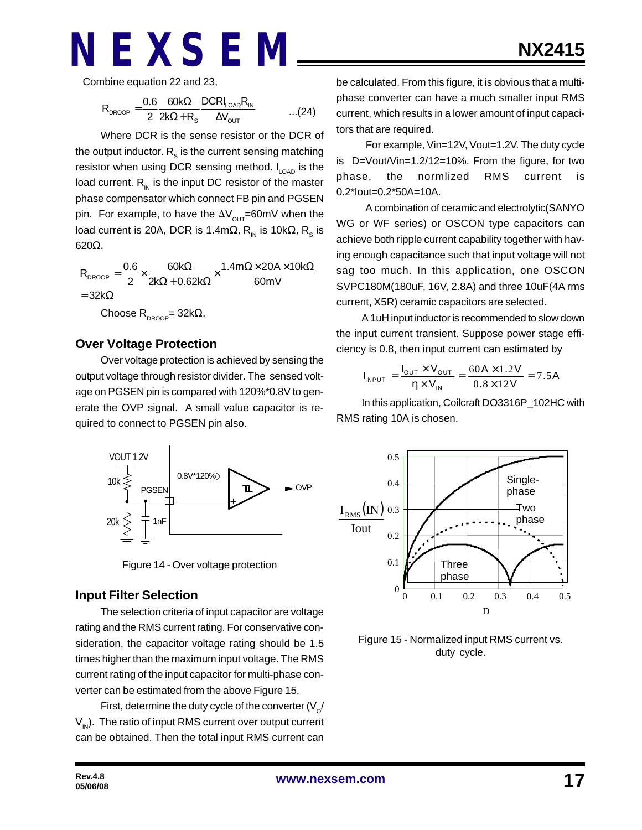Combine equation 22 and 23,

$$
R_{\text{DROOP}} = \frac{0.6}{2} \frac{60k\Omega}{2k\Omega + R_s} \frac{DCRI_{\text{LOAD}}R_{\text{IN}}}{\Delta V_{\text{OUT}}} \qquad \qquad \dots (24)
$$

Where DCR is the sense resistor or the DCR of the output inductor.  $\textsf{R}_\text{s}$  is the current sensing matching resistor when using DCR sensing method.  $I_{LOAD}$  is the load current.  $R_{\text{in}}$  is the input DC resistor of the master phase compensator which connect FB pin and PGSEN pin. For example, to have the  $\Delta V_{\text{OUT}}$ =60mV when the load current is 20A, DCR is 1.4mΩ,  $\mathsf{R}_{{}_{\mathsf{N}}}$  is 10kΩ,  $\mathsf{R}_{{}_{\mathsf{S}}}$  is 620Ω.

 $R_{\text{DROOP}} = \frac{0.6}{2} \times \frac{60k\Omega}{200 \times 9.62k\Omega} \times \frac{1.4m\Omega \times 20A \times 10k}{20m}$ 2  $2k\Omega + 0.62k\Omega$  60mV  $=32k\Omega$ Ω Ω× × Ω = × ×  $\Omega$  + 0.62k $\Omega$ Choose R<sub>DROOP</sub>= 32kΩ.

#### **Over Voltage Protection**

Over voltage protection is achieved by sensing the output voltage through resistor divider. The sensed voltage on PGSEN pin is compared with 120%\*0.8V to generate the OVP signal. A small value capacitor is required to connect to PGSEN pin also.



Figure 14 - Over voltage protection

#### **Input Filter Selection**

The selection criteria of input capacitor are voltage rating and the RMS current rating. For conservative consideration, the capacitor voltage rating should be 1.5 times higher than the maximum input voltage. The RMS current rating of the input capacitor for multi-phase converter can be estimated from the above Figure 15.

First, determine the duty cycle of the converter (V $_{\rm \scriptscriptstyle O}$ /  $V_{in}$ ). The ratio of input RMS current over output current can be obtained. Then the total input RMS current can

be calculated. From this figure, it is obvious that a multiphase converter can have a much smaller input RMS current, which results in a lower amount of input capacitors that are required.

 For example, Vin=12V, Vout=1.2V. The duty cycle is D=Vout/Vin=1.2/12=10%. From the figure, for two phase, the normlized RMS current is 0.2\*Iout=0.2\*50A=10A.

 A combination of ceramic and electrolytic(SANYO WG or WF series) or OSCON type capacitors can achieve both ripple current capability together with having enough capacitance such that input voltage will not sag too much. In this application, one OSCON SVPC180M(180uF, 16V, 2.8A) and three 10uF(4A rms current, X5R) ceramic capacitors are selected.

A 1uH input inductor is recommended to slow down the input current transient. Suppose power stage efficiency is 0.8, then input current can estimated by

$$
I_{INPUT} = \frac{I_{OUT} \times V_{OUT}}{\eta \times V_{IN}} = \frac{60A \times 1.2V}{0.8 \times 12V} = 7.5A
$$

In this application, Coilcraft DO3316P\_102HC with RMS rating 10A is chosen.



Figure 15 - Normalized input RMS current vs. duty cycle.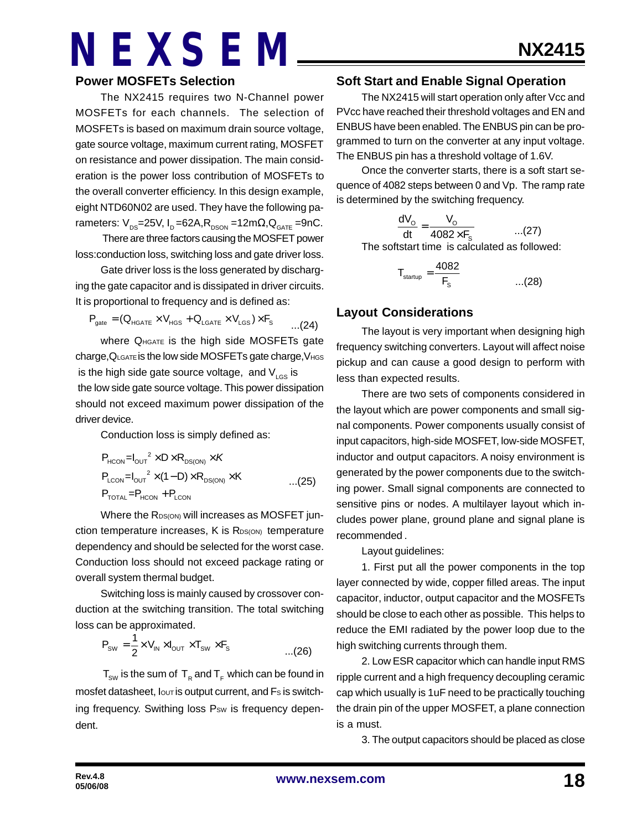#### **Power MOSFETs Selection**

The NX2415 requires two N-Channel power MOSFETs for each channels. The selection of MOSFETs is based on maximum drain source voltage, gate source voltage, maximum current rating, MOSFET on resistance and power dissipation. The main consideration is the power loss contribution of MOSFETs to the overall converter efficiency. In this design example, eight NTD60N02 are used. They have the following parameters:  $V_{DS}$ =25V, I<sub>D</sub> =62A, R<sub>DSON</sub> =12m $\Omega$ , Q<sub>GATE</sub> =9nC.

 There are three factors causing the MOSFET power loss:conduction loss, switching loss and gate driver loss.

Gate driver loss is the loss generated by discharging the gate capacitor and is dissipated in driver circuits. It is proportional to frequency and is defined as:

$$
P_{\text{gate}} = (Q_{\text{HGATE}} \times V_{\text{HGS}} + Q_{\text{LGATE}} \times V_{\text{LGS}}) \times F_{\text{S}} \qquad \qquad \ldots (24)
$$

where QHGATE is the high side MOSFETs gate charge,QLGATE is the low side MOSFETs gate charge,VHGS is the high side gate source voltage, and  $V_{\text{LGS}}$  is the low side gate source voltage. This power dissipation should not exceed maximum power dissipation of the driver device.

Conduction loss is simply defined as:

$$
P_{HCON} = I_{OUT}^2 \times D \times R_{DS(ON)} \times K
$$
  
\n
$$
P_{LCDN} = I_{OUT}^2 \times (1 - D) \times R_{DS(ON)} \times K
$$
...(25)  
\n
$$
P_{TOTAL} = P_{HCON} + P_{LCDN}
$$

Where the R<sub>DS(ON)</sub> will increases as MOSFET junction temperature increases, K is R<sub>DS(ON)</sub> temperature dependency and should be selected for the worst case. Conduction loss should not exceed package rating or overall system thermal budget.

Switching loss is mainly caused by crossover conduction at the switching transition. The total switching loss can be approximated.

$$
P_{sw} = \frac{1}{2} \times V_{IN} \times I_{OUT} \times T_{sw} \times F_s
$$
...(26)

 $\mathsf{T}_{_{\mathsf{SW}}}$  is the sum of  $\mathsf{T}_{_{\mathsf{R}}}$  and  $\mathsf{T}_{_{\mathsf{F}}}$  which can be found in mosfet datasheet, lout is output current, and Fs is switching frequency. Swithing loss Psw is frequency dependent.

#### **Soft Start and Enable Signal Operation**

The NX2415 will start operation only after Vcc and PVcc have reached their threshold voltages and EN and ENBUS have been enabled. The ENBUS pin can be programmed to turn on the converter at any input voltage. The ENBUS pin has a threshold voltage of 1.6V.

Once the converter starts, there is a soft start sequence of 4082 steps between 0 and Vp. The ramp rate is determined by the switching frequency.

$$
\frac{dV_o}{dt} = \frac{V_o}{4082 \times F_s}
$$
...(27)

The softstart time is calculated as followed:

$$
T_{\text{startup}} = \frac{4082}{F_s} \qquad \qquad \dots (28)
$$

#### **Layout Considerations**

The layout is very important when designing high frequency switching converters. Layout will affect noise pickup and can cause a good design to perform with less than expected results.

There are two sets of components considered in the layout which are power components and small signal components. Power components usually consist of input capacitors, high-side MOSFET, low-side MOSFET, inductor and output capacitors. A noisy environment is generated by the power components due to the switching power. Small signal components are connected to sensitive pins or nodes. A multilayer layout which includes power plane, ground plane and signal plane is recommended .

Layout guidelines:

1. First put all the power components in the top layer connected by wide, copper filled areas. The input capacitor, inductor, output capacitor and the MOSFETs should be close to each other as possible. This helps to reduce the EMI radiated by the power loop due to the high switching currents through them.

2. Low ESR capacitor which can handle input RMS ripple current and a high frequency decoupling ceramic cap which usually is 1uF need to be practically touching the drain pin of the upper MOSFET, a plane connection is a must.

3. The output capacitors should be placed as close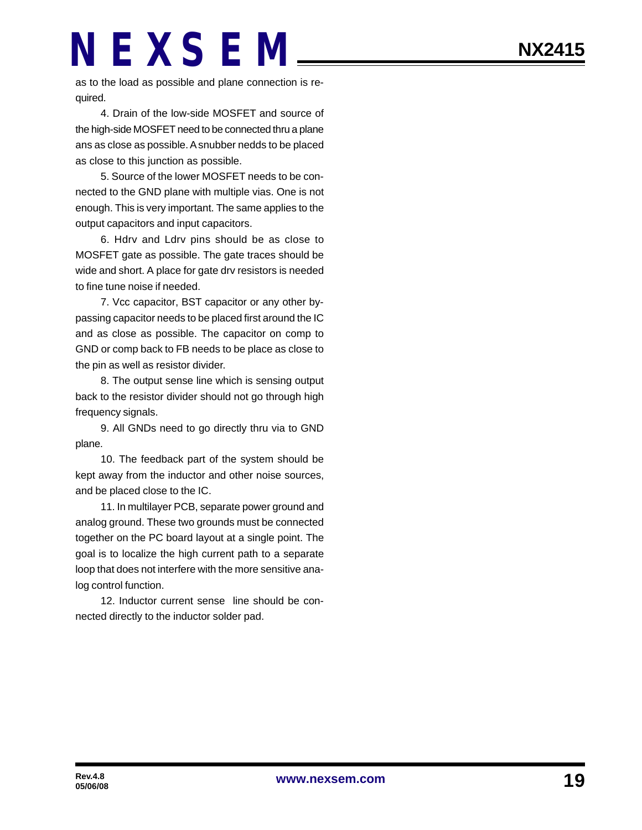as to the load as possible and plane connection is required.

4. Drain of the low-side MOSFET and source of the high-side MOSFET need to be connected thru a plane ans as close as possible. A snubber nedds to be placed as close to this junction as possible.

5. Source of the lower MOSFET needs to be connected to the GND plane with multiple vias. One is not enough. This is very important. The same applies to the output capacitors and input capacitors.

6. Hdrv and Ldrv pins should be as close to MOSFET gate as possible. The gate traces should be wide and short. A place for gate drv resistors is needed to fine tune noise if needed.

7. Vcc capacitor, BST capacitor or any other bypassing capacitor needs to be placed first around the IC and as close as possible. The capacitor on comp to GND or comp back to FB needs to be place as close to the pin as well as resistor divider.

8. The output sense line which is sensing output back to the resistor divider should not go through high frequency signals.

9. All GNDs need to go directly thru via to GND plane.

10. The feedback part of the system should be kept away from the inductor and other noise sources, and be placed close to the IC.

11. In multilayer PCB, separate power ground and analog ground. These two grounds must be connected together on the PC board layout at a single point. The goal is to localize the high current path to a separate loop that does not interfere with the more sensitive analog control function.

12. Inductor current sense line should be connected directly to the inductor solder pad.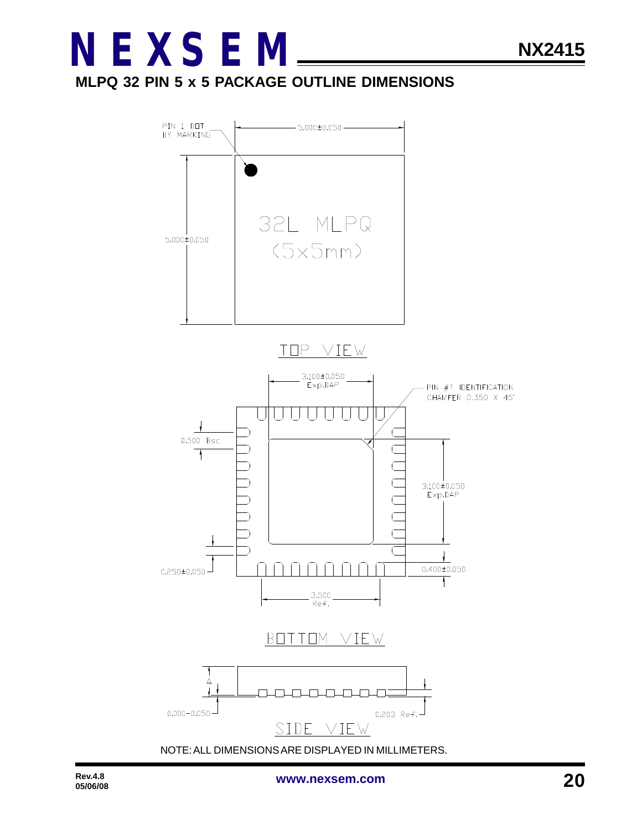### **MLPQ 32 PIN 5 x 5 PACKAGE OUTLINE DIMENSIONS**

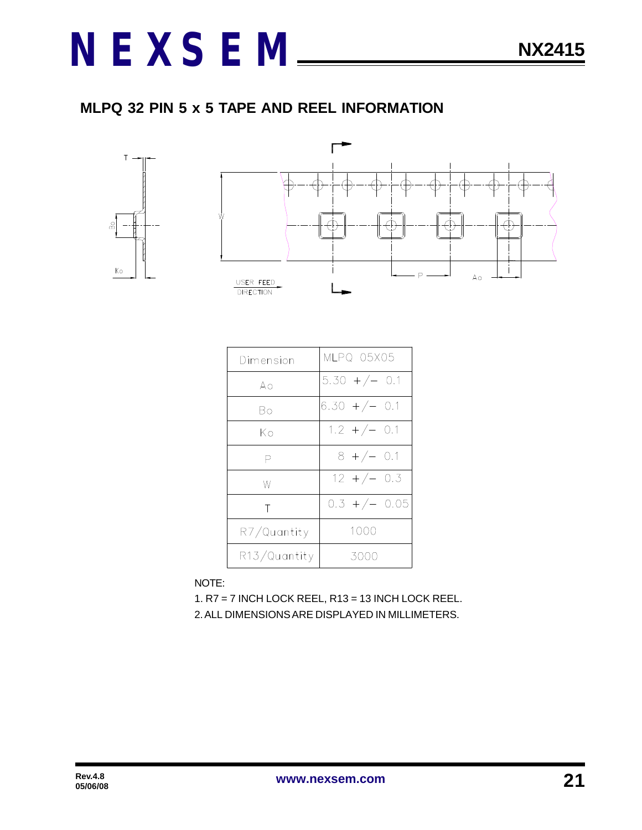### **MLPQ 32 PIN 5 x 5 TAPE AND REEL INFORMATION**



| Dimension    | MLPQ 05X05       |
|--------------|------------------|
| Aο           | $5.30 + / - 0.1$ |
| Bo           | $6.30 + / - 0.1$ |
| Kο           | $1.2 + / - 0.1$  |
| Ρ            | $8 +/- 0.1$      |
| W            | $12 + / - 0.3$   |
| Τ            | $0.3 +/- 0.05$   |
| R7/Quantity  | 1000             |
| R13/Quantity | 3000             |

NOTE:

1. R7 = 7 INCH LOCK REEL, R13 = 13 INCH LOCK REEL. 2. ALL DIMENSIONS ARE DISPLAYED IN MILLIMETERS.